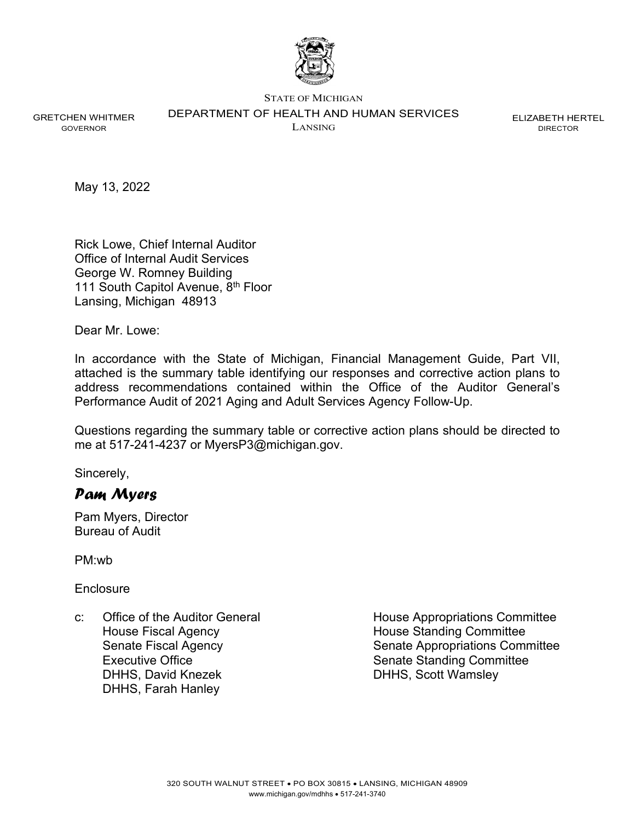

STATE OF MICHIGAN

DEPARTMENT OF HEALTH AND HUMAN SERVICES

GRETCHEN WHITMER GOVERNOR

LANSING

ELIZABETH HERTEL DIRECTOR

May 13, 2022

Rick Lowe, Chief Internal Auditor Office of Internal Audit Services George W. Romney Building 111 South Capitol Avenue, 8<sup>th</sup> Floor Lansing, Michigan 48913

Dear Mr. Lowe:

In accordance with the State of Michigan, Financial Management Guide, Part VII, attached is the summary table identifying our responses and corrective action plans to address recommendations contained within the Office of the Auditor General's Performance Audit of 2021 Aging and Adult Services Agency Follow-Up.

Questions regarding the summary table or corrective action plans should be directed to me at 517-241-4237 or MyersP3@michigan.gov.

Sincerely,

### *Pam Myers*

Pam Myers, Director Bureau of Audit

PM:wb

**Enclosure** 

House Fiscal Agency **House Standing Committee** Executive Office Senate Standing Committee DHHS, David Knezek DHHS, Scott Wamsley DHHS, Farah Hanley

c: Office of the Auditor General **House Appropriations Committee** Senate Fiscal Agency **Senate Appropriations Committee** Senate Appropriations Committee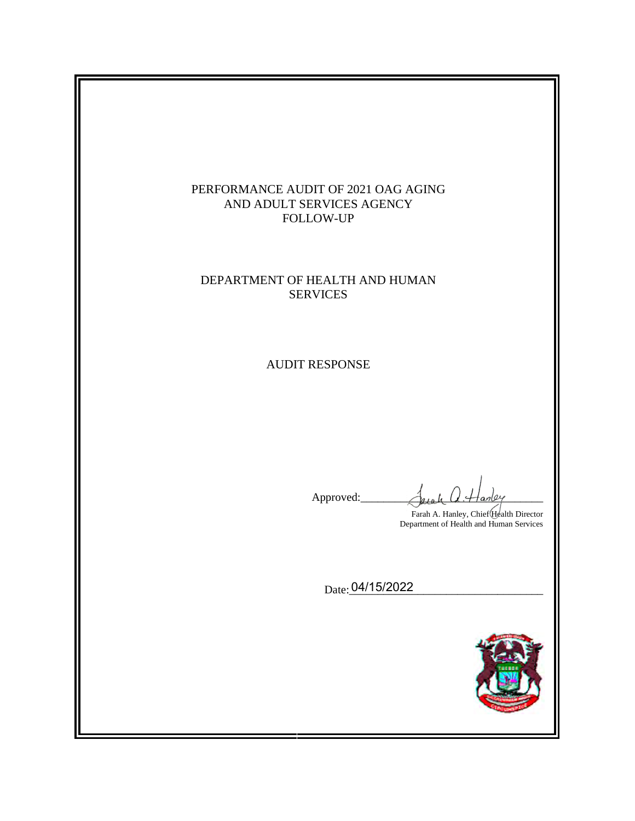### PERFORMANCE AUDIT OF 2021 OAG AGING AND ADULT SERVICES AGENCY FOLLOW-UP

#### DEPARTMENT OF HEALTH AND HUMAN SERVICES

AUDIT RESPONSE

Approved:

Farah A. Hanley, Chief Health Director Department of Health and Human Services

Date: 04/15/2022

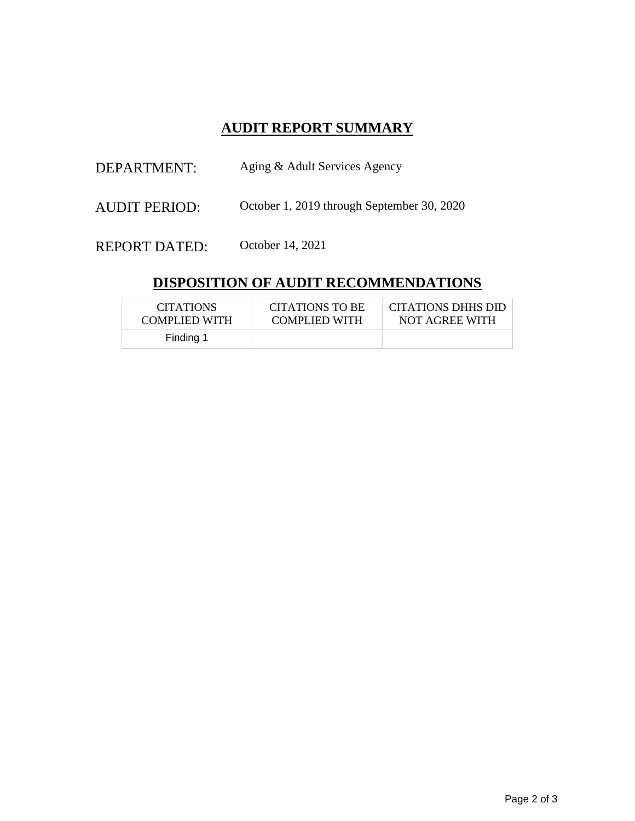## **AUDIT REPORT SUMMARY**

| DEPARTMENT:          | Aging & Adult Services Agency              |  |
|----------------------|--------------------------------------------|--|
| <b>AUDIT PERIOD:</b> | October 1, 2019 through September 30, 2020 |  |
| <b>REPORT DATED:</b> | October 14, 2021                           |  |

# **DISPOSITION OF AUDIT RECOMMENDATIONS**

| <b>CITATIONS</b> | CITATIONS TO BE      | CITATIONS DHHS DID |
|------------------|----------------------|--------------------|
| COMPLIED WITH    | <b>COMPLIED WITH</b> | NOT AGREE WITH     |
| Finding 1        |                      |                    |